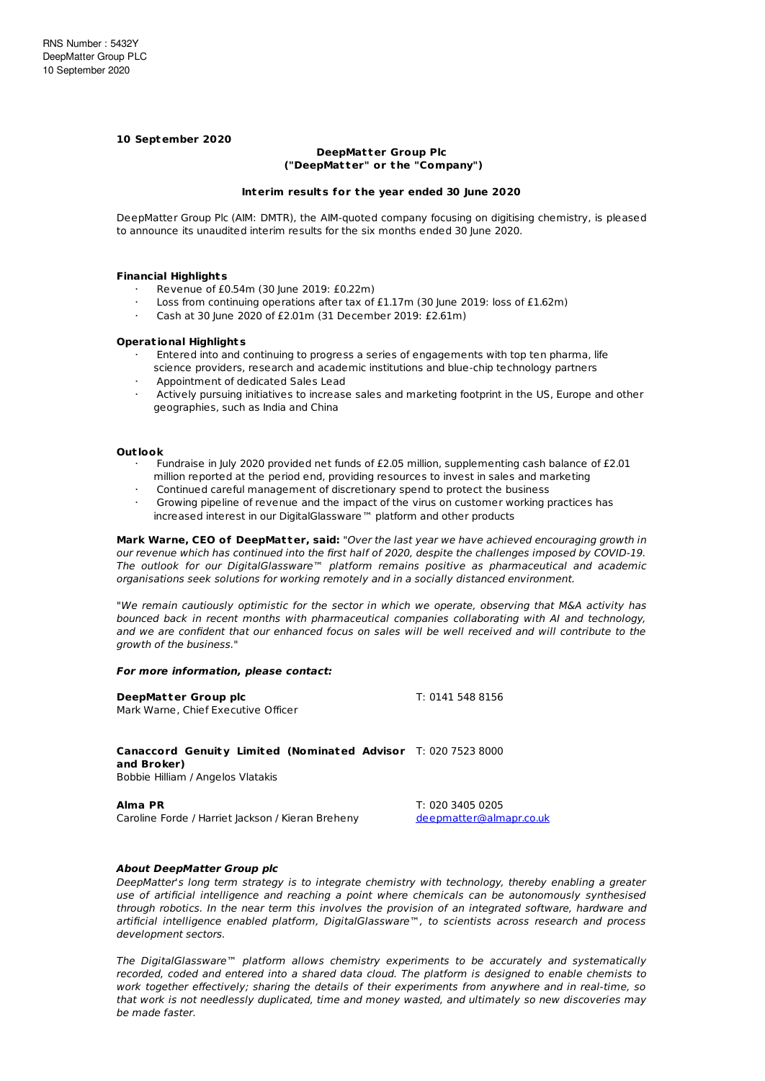# **10 September 2020**

## **DeepMatter Group Plc ("DeepMat ter" or t he "Company")**

#### **Interim results for t he year ended 30 June 2020**

DeepMatter Group Plc (AIM: DMTR), the AIM-quoted company focusing on digitising chemistry, is pleased to announce its unaudited interim results for the six months ended 30 June 2020.

#### **Financial Highlights**

- · Revenue of £0.54m (30 June 2019: £0.22m)
- · Loss from continuing operations after tax of £1.17m (30 June 2019: loss of £1.62m)
- · Cash at 30 June 2020 of £2.01m (31 December 2019: £2.61m)

#### **Operat ional Highlights**

- Entered into and continuing to progress a series of engagements with top ten pharma, life science providers, research and academic institutions and blue-chip technology partners
- · Appointment of dedicated Sales Lead
- Actively pursuing initiatives to increase sales and marketing footprint in the US, Europe and other geographies, such as India and China

#### **Out look**

- · Fundraise in July 2020 provided net funds of £2.05 million, supplementing cash balance of £2.01 million reported at the period end, providing resources to invest in sales and marketing
- Continued careful management of discretionary spend to protect the business
- Growing pipeline of revenue and the impact of the virus on customer working practices has increased interest in our DigitalGlassware™ platform and other products

**Mark Warne, CEO of DeepMat ter, said:** "Over the last year we have achieved encouraging growth in our revenue which has continued into the first half of 2020, despite the challenges imposed by COVID-19. The outlook for our DigitalGlassware™ platform remains positive as pharmaceutical and academic organisations seek solutions for working remotely and in a socially distanced environment.

"We remain cautiously optimistic for the sector in which we operate, observing that M&A activity has bounced back in recent months with pharmaceutical companies collaborating with AI and technology, and we are confident that our enhanced focus on sales will be well received and will contribute to the growth of the business."

#### **For more information, please contact:**

| DeepMatter Group plc<br>Mark Warne, Chief Executive Officer                                                       | T: 0141 548 8156                            |
|-------------------------------------------------------------------------------------------------------------------|---------------------------------------------|
| Canaccord Genuity Limited (Nominated Advisor T: 020 7523 8000<br>and Broker)<br>Bobbie Hilliam / Angelos Vlatakis |                                             |
| Alma PR<br>Caroline Forde / Harriet Jackson / Kieran Breheny                                                      | T: 020 3405 0205<br>deepmatter@almapr.co.uk |

## **About DeepMatter Group plc**

DeepMatter's long term strategy is to integrate chemistry with technology, thereby enabling a greater use of artificial intelligence and reaching a point where chemicals can be autonomously synthesised through robotics. In the near term this involves the provision of an integrated software, hardware and artificial intelligence enabled platform, DigitalGlassware™, to scientists across research and process development sectors.

The DigitalGlassware™ platform allows chemistry experiments to be accurately and systematically recorded, coded and entered into a shared data cloud. The platform is designed to enable chemists to work together effectively; sharing the details of their experiments from anywhere and in real-time, so that work is not needlessly duplicated, time and money wasted, and ultimately so new discoveries may be made faster.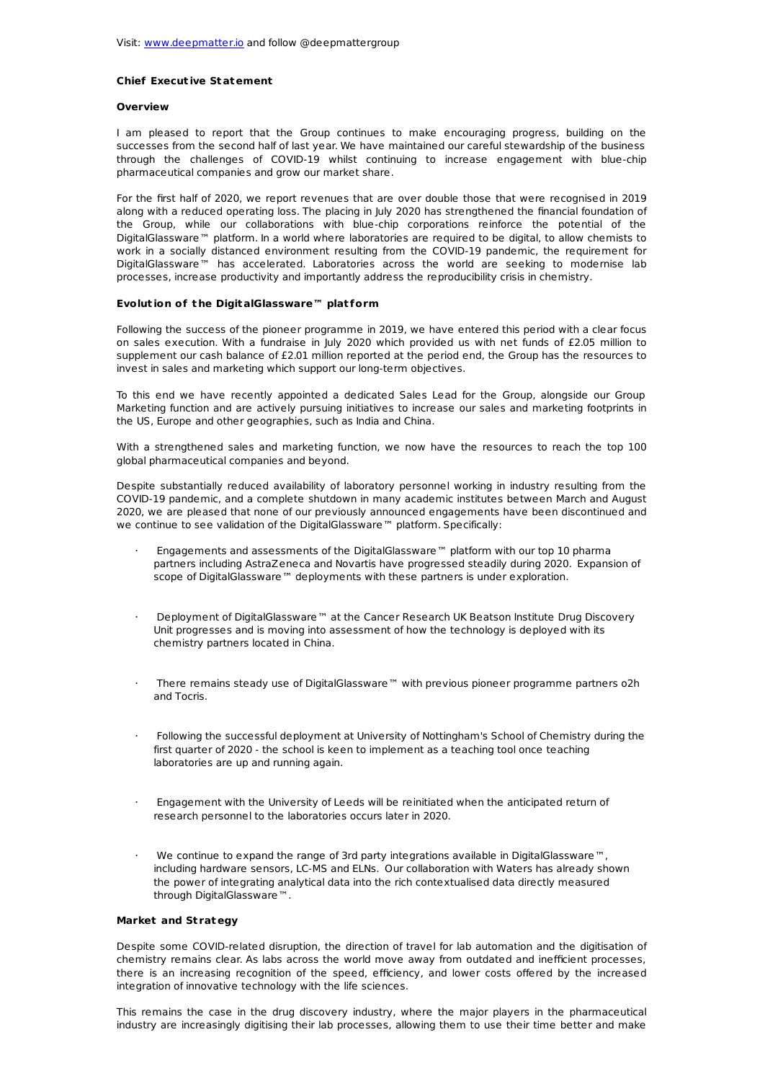# **Chief Execut ive Statement**

#### **Overview**

I am pleased to report that the Group continues to make encouraging progress, building on the successes from the second half of last year. We have maintained our careful stewardship of the business through the challenges of COVID-19 whilst continuing to increase engagement with blue-chip pharmaceutical companies and grow our market share.

For the first half of 2020, we report revenues that are over double those that were recognised in 2019 along with a reduced operating loss. The placing in July 2020 has strengthened the financial foundation of the Group, while our collaborations with blue-chip corporations reinforce the potential of the DigitalGlassware™ platform. In a world where laboratories are required to be digital, to allow chemists to work in a socially distanced environment resulting from the COVID-19 pandemic, the requirement for DigitalGlassware™ has accelerated. Laboratories across the world are seeking to modernise lab processes, increase productivity and importantly address the reproducibility crisis in chemistry.

## **Evolut ion of t he DigitalGlassware™ plat form**

Following the success of the pioneer programme in 2019, we have entered this period with a clear focus on sales execution. With a fundraise in July 2020 which provided us with net funds of £2.05 million to supplement our cash balance of £2.01 million reported at the period end, the Group has the resources to invest in sales and marketing which support our long-term objectives.

To this end we have recently appointed a dedicated Sales Lead for the Group, alongside our Group Marketing function and are actively pursuing initiatives to increase our sales and marketing footprints in the US, Europe and other geographies, such as India and China.

With a strengthened sales and marketing function, we now have the resources to reach the top 100 global pharmaceutical companies and beyond.

Despite substantially reduced availability of laboratory personnel working in industry resulting from the COVID-19 pandemic, and a complete shutdown in many academic institutes between March and August 2020, we are pleased that none of our previously announced engagements have been discontinued and we continue to see validation of the DigitalGlassware™ platform. Specifically:

- · Engagements and assessments of the DigitalGlassware™ platform with our top 10 pharma partners including AstraZeneca and Novartis have progressed steadily during 2020. Expansion of scope of DigitalGlassware™ deployments with these partners is under exploration.
- · Deployment of DigitalGlassware™ at the Cancer Research UK Beatson Institute Drug Discovery Unit progresses and is moving into assessment of how the technology is deployed with its chemistry partners located in China.
- There remains steady use of DigitalGlassware™ with previous pioneer programme partners o2h and Tocris.
- · Following the successful deployment at University of Nottingham's School of Chemistry during the first quarter of 2020 - the school is keen to implement as a teaching tool once teaching laboratories are up and running again.
- · Engagement with the University of Leeds will be reinitiated when the anticipated return of research personnel to the laboratories occurs later in 2020.
- · We continue to expand the range of 3rd party integrations available in DigitalGlassware™, including hardware sensors, LC-MS and ELNs. Our collaboration with Waters has already shown the power of integrating analytical data into the rich contextualised data directly measured through DigitalGlassware™.

## **Market and St rategy**

Despite some COVID-related disruption, the direction of travel for lab automation and the digitisation of chemistry remains clear. As labs across the world move away from outdated and inefficient processes, there is an increasing recognition of the speed, efficiency, and lower costs offered by the increased integration of innovative technology with the life sciences.

This remains the case in the drug discovery industry, where the major players in the pharmaceutical industry are increasingly digitising their lab processes, allowing them to use their time better and make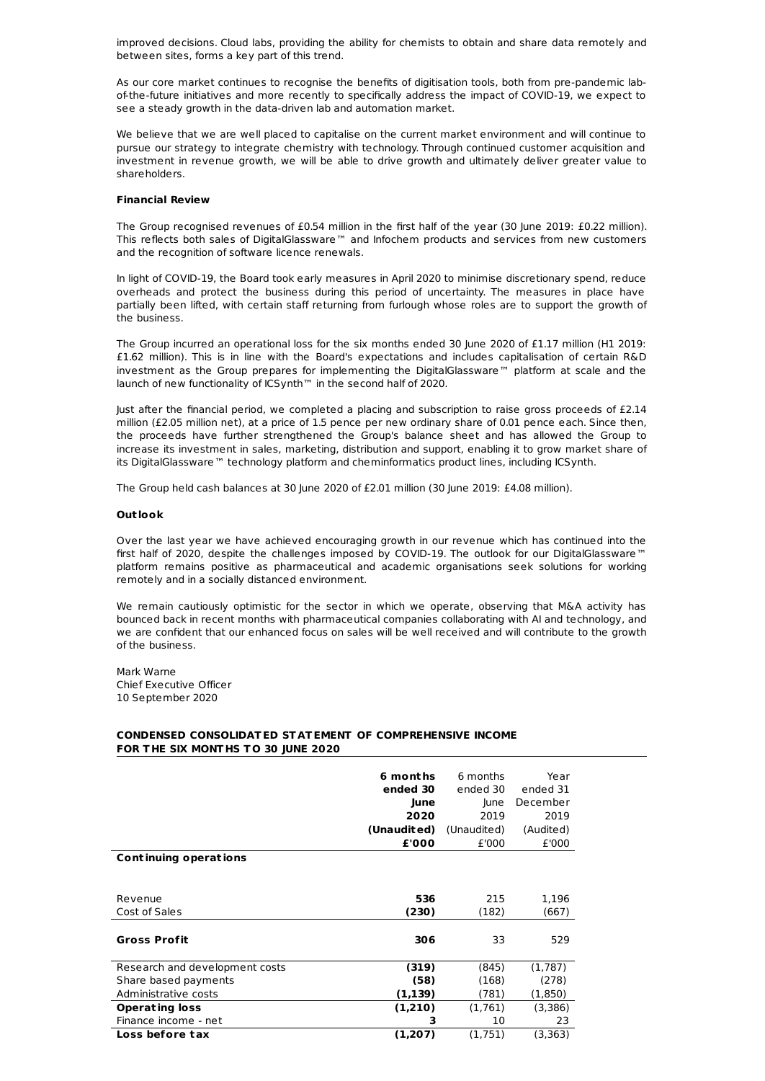improved decisions. Cloud labs, providing the ability for chemists to obtain and share data remotely and between sites, forms a key part of this trend.

As our core market continues to recognise the benefits of digitisation tools, both from pre-pandemic labof-the-future initiatives and more recently to specifically address the impact of COVID-19, we expect to see a steady growth in the data-driven lab and automation market.

We believe that we are well placed to capitalise on the current market environment and will continue to pursue our strategy to integrate chemistry with technology. Through continued customer acquisition and investment in revenue growth, we will be able to drive growth and ultimately deliver greater value to shareholders.

## **Financial Review**

The Group recognised revenues of £0.54 million in the first half of the year (30 June 2019: £0.22 million). This reflects both sales of DigitalGlassware™ and Infochem products and services from new customers and the recognition of software licence renewals.

In light of COVID-19, the Board took early measures in April 2020 to minimise discretionary spend, reduce overheads and protect the business during this period of uncertainty. The measures in place have partially been lifted, with certain staff returning from furlough whose roles are to support the growth of the business.

The Group incurred an operational loss for the six months ended 30 June 2020 of £1.17 million (H1 2019: £1.62 million). This is in line with the Board's expectations and includes capitalisation of certain R&D investment as the Group prepares for implementing the DigitalGlassware™ platform at scale and the launch of new functionality of ICSynth™ in the second half of 2020.

Just after the financial period, we completed a placing and subscription to raise gross proceeds of £2.14 million (£2.05 million net), at a price of 1.5 pence per new ordinary share of 0.01 pence each. Since then, the proceeds have further strengthened the Group's balance sheet and has allowed the Group to increase its investment in sales, marketing, distribution and support, enabling it to grow market share of its DigitalGlassware™ technology platform and cheminformatics product lines, including ICSynth.

The Group held cash balances at 30 June 2020 of £2.01 million (30 June 2019: £4.08 million).

## **Out look**

Over the last year we have achieved encouraging growth in our revenue which has continued into the first half of 2020, despite the challenges imposed by COVID-19. The outlook for our DigitalGlassware™ platform remains positive as pharmaceutical and academic organisations seek solutions for working remotely and in a socially distanced environment.

We remain cautiously optimistic for the sector in which we operate, observing that M&A activity has bounced back in recent months with pharmaceutical companies collaborating with AI and technology, and we are confident that our enhanced focus on sales will be well received and will contribute to the growth of the business.

Mark Warne Chief Executive Officer 10 September 2020

## **CONDENSED CONSOLIDATED ST ATEMENT OF COMPREHENSIVE INCOME FOR T HE SIX MONT HS T O 30 JUNE 2020**

|                                | 6 months<br>ended 30<br>June<br>2020<br>(Unaudited)<br>£'000 | 6 months<br>ended 30<br>lune<br>2019<br>(Unaudited)<br>£'000 | Year<br>ended 31<br>December<br>2019<br>(Audited)<br>£'000 |
|--------------------------------|--------------------------------------------------------------|--------------------------------------------------------------|------------------------------------------------------------|
| Continuing operations          |                                                              |                                                              |                                                            |
|                                |                                                              |                                                              |                                                            |
| Revenue                        | 536                                                          | 215                                                          | 1,196                                                      |
| Cost of Sales                  | (230)                                                        | (182)                                                        | (667)                                                      |
| <b>Gross Profit</b>            | 306                                                          | 33                                                           | 529                                                        |
| Research and development costs | (319)                                                        | (845)                                                        | (1,787)                                                    |
| Share based payments           | (58)                                                         | (168)                                                        | (278)                                                      |
| Administrative costs           | (1, 139)                                                     | (781)                                                        | (1,850)                                                    |
| <b>Operating loss</b>          | (1,210)                                                      | (1,761)                                                      | (3,386)                                                    |
| Finance income - net           | 3                                                            | 10                                                           | 23                                                         |
| Loss before tax                | (1,207)                                                      | (1,751)                                                      | (3,363)                                                    |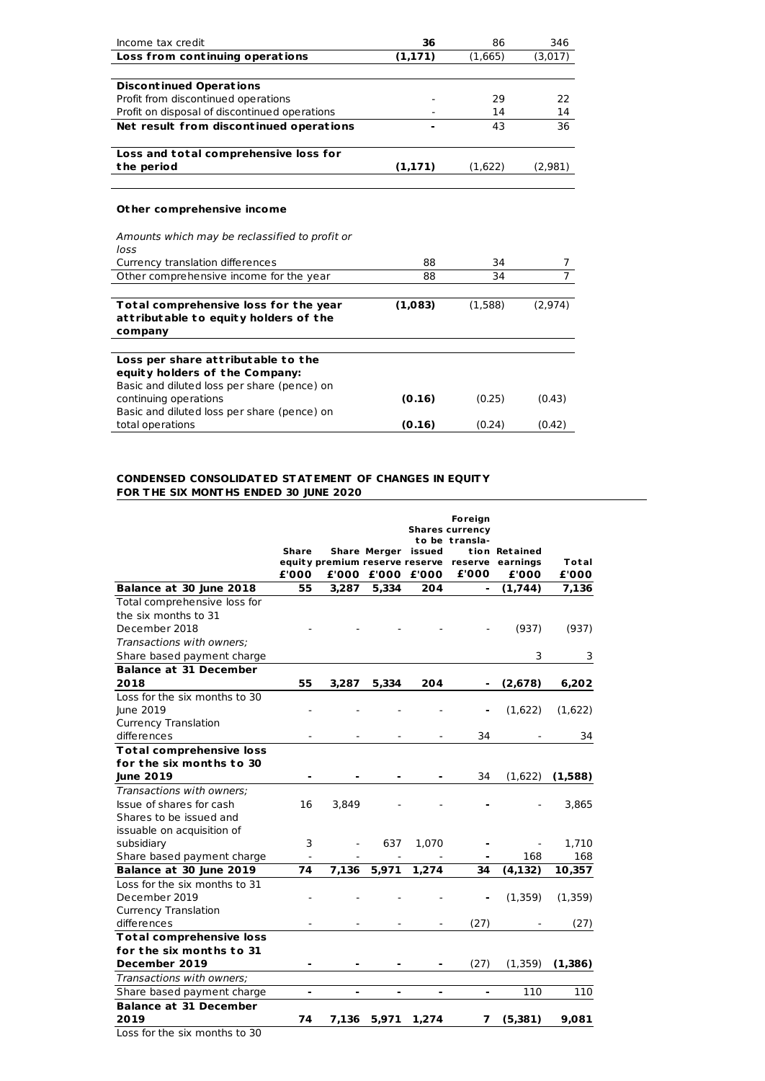| Income tax credit                              | 36       | 86      | 346            |
|------------------------------------------------|----------|---------|----------------|
| Loss from continuing operations                | (1, 171) | (1,665) | (3,017)        |
|                                                |          |         |                |
| <b>Discontinued Operations</b>                 |          |         |                |
| Profit from discontinued operations            |          | 29      | 22             |
| Profit on disposal of discontinued operations  |          | 14      | 14             |
| Net result from discontinued operations        |          | 43      | 36             |
| Loss and total comprehensive loss for          |          |         |                |
| the period                                     | (1,171)  | (1,622) | (2,981)        |
|                                                |          |         |                |
| Other comprehensive income                     |          |         |                |
| Amounts which may be reclassified to profit or |          |         |                |
| loss                                           |          |         |                |
| Currency translation differences               | 88       | 34      |                |
| Other comprehensive income for the year        | 88       | 34      | $\overline{7}$ |
| Total comprehensive loss for the year          | (1,083)  | (1,588) | (2,974)        |
| attributable to equity holders of the          |          |         |                |
| company                                        |          |         |                |
|                                                |          |         |                |
| Loss per share attributable to the             |          |         |                |
| equity holders of the Company:                 |          |         |                |
| Basic and diluted loss per share (pence) on    |          |         |                |
| continuing operations                          | (0.16)   | (0.25)  | (0.43)         |
| Basic and diluted loss per share (pence) on    |          |         |                |
| total operations                               | (0.16)   | (0.24)  | (0.42)         |

## **CONDENSED CONSOLIDATED ST ATEMENT OF CHANGES IN EQUIT Y FOR T HE SIX MONT HS ENDED 30 JUNE 2020**

|                                                             |       |       |       |                     | <b>Foreign</b><br><b>Shares currency</b> |                                                 |         |
|-------------------------------------------------------------|-------|-------|-------|---------------------|------------------------------------------|-------------------------------------------------|---------|
|                                                             | Share |       |       | Share Merger issued | to be transla-                           | tion Retained                                   |         |
|                                                             |       |       |       |                     |                                          | equity premium reserve reserve reserve earnings | Total   |
|                                                             | £'000 |       |       | £'000 £'000 £'000   | £'000                                    | £'000                                           | £'000   |
| Balance at 30 June 2018                                     | 55    | 3,287 | 5,334 | 204                 | $\overline{\phantom{0}}$                 | (1,744)                                         | 7,136   |
| Total comprehensive loss for                                |       |       |       |                     |                                          |                                                 |         |
| the six months to 31                                        |       |       |       |                     |                                          |                                                 |         |
| December 2018                                               |       |       |       |                     |                                          | (937)                                           | (937)   |
| Transactions with owners:                                   |       |       |       |                     |                                          |                                                 |         |
| Share based payment charge                                  |       |       |       |                     |                                          | 3                                               | 3       |
| <b>Balance at 31 December</b>                               |       |       |       |                     |                                          |                                                 |         |
| 2018                                                        | 55    | 3,287 | 5,334 | 204                 |                                          | (2,678)                                         | 6,202   |
| Loss for the six months to 30                               |       |       |       |                     |                                          |                                                 |         |
| June 2019                                                   |       |       |       |                     |                                          | (1,622)                                         | (1,622) |
| <b>Currency Translation</b>                                 |       |       |       |                     |                                          |                                                 |         |
| differences                                                 |       |       |       |                     | 34                                       |                                                 | 34      |
| <b>Total comprehensive loss</b>                             |       |       |       |                     |                                          |                                                 |         |
| for the six months to 30                                    |       |       |       |                     |                                          |                                                 |         |
| <b>June 2019</b>                                            |       |       |       |                     | 34                                       | (1,622)                                         | (1,588) |
| Transactions with owners:                                   |       |       |       |                     |                                          |                                                 |         |
| Issue of shares for cash                                    | 16    | 3,849 |       |                     |                                          |                                                 | 3,865   |
| Shares to be issued and                                     |       |       |       |                     |                                          |                                                 |         |
| issuable on acquisition of                                  |       |       |       |                     |                                          |                                                 |         |
| subsidiary                                                  | 3     |       | 637   | 1,070               |                                          |                                                 | 1,710   |
| Share based payment charge                                  |       |       |       |                     |                                          | 168                                             | 168     |
| Balance at 30 June 2019                                     | 74    | 7,136 | 5,971 | 1,274               | 34                                       | (4, 132)                                        | 10,357  |
| Loss for the six months to 31                               |       |       |       |                     |                                          |                                                 |         |
| December 2019                                               |       |       |       |                     |                                          | (1,359)                                         | (1,359) |
| <b>Currency Translation</b>                                 |       |       |       |                     |                                          |                                                 |         |
| differences                                                 |       |       |       |                     | (27)                                     |                                                 | (27)    |
| <b>Total comprehensive loss</b><br>for the six months to 31 |       |       |       |                     |                                          |                                                 |         |
| December 2019                                               |       |       |       |                     | (27)                                     | (1, 359)                                        | (1,386) |
|                                                             |       |       |       |                     |                                          |                                                 |         |
| Transactions with owners;                                   |       |       |       |                     |                                          |                                                 |         |
| Share based payment charge<br><b>Balance at 31 December</b> | ٠     |       | ۰     | -                   |                                          | 110                                             | 110     |
| 2019                                                        |       |       |       |                     |                                          |                                                 |         |
|                                                             | 74    | 7,136 | 5,971 | 1,274               | 7                                        | (5,381)                                         | 9,081   |
| Loss for the six months to 30                               |       |       |       |                     |                                          |                                                 |         |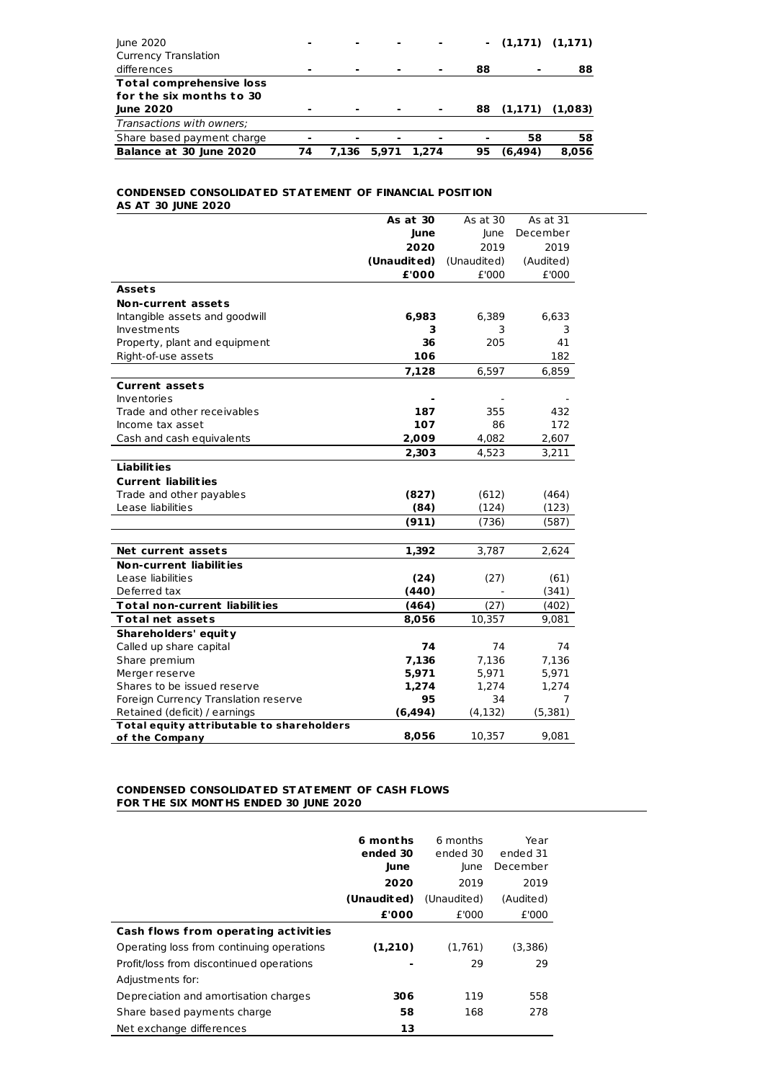| Balance at 30 June 2020         | 74 | 7.136 | 5,971 | 1.274          | 95  | (6.494) | 8.056               |
|---------------------------------|----|-------|-------|----------------|-----|---------|---------------------|
| Share based payment charge      | ۰  |       |       | $\blacksquare$ |     | 58      | 58                  |
| Transactions with owners;       |    |       |       |                |     |         |                     |
| <b>June 2020</b>                | ۰  |       |       | $\blacksquare$ | 88  |         | $(1,171)$ $(1,083)$ |
| for the six months to 30        |    |       |       |                |     |         |                     |
| <b>Total comprehensive loss</b> |    |       |       |                |     |         |                     |
| differences                     | ۰  |       |       | $\blacksquare$ | 88  | ۰       | 88                  |
| <b>Currency Translation</b>     |    |       |       |                |     |         |                     |
| June 2020                       | ۰  |       |       |                | . . |         | $(1,171)$ $(1,171)$ |
|                                 |    |       |       |                |     |         |                     |

## **CONDENSED CONSOLIDATED ST ATEMENT OF FINANCIAL POSITION AS AT 30 JUNE 2020**

|                                           | As at 30    | As at 30    | As at 31  |  |
|-------------------------------------------|-------------|-------------|-----------|--|
|                                           | June        | lune        | December  |  |
|                                           | 2020        | 2019        | 2019      |  |
|                                           | (Unaudited) | (Unaudited) | (Audited) |  |
|                                           | £'000       | £'000       | £'000     |  |
| <b>Assets</b>                             |             |             |           |  |
| <b>Non-current assets</b>                 |             |             |           |  |
| Intangible assets and goodwill            | 6,983       | 6,389       | 6,633     |  |
| Investments                               | 3           | 3           | 3         |  |
| Property, plant and equipment             | 36          | 205         | 41        |  |
| Right-of-use assets                       | 106         |             | 182       |  |
|                                           | 7,128       | 6,597       | 6,859     |  |
| <b>Current assets</b>                     |             |             |           |  |
| <b>Inventories</b>                        |             |             |           |  |
| Trade and other receivables               | 187         | 355         | 432       |  |
| Income tax asset                          | 107         | 86          | 172       |  |
| Cash and cash equivalents                 | 2,009       | 4,082       | 2,607     |  |
|                                           | 2,303       | 4,523       | 3,211     |  |
| <b>Liabilities</b>                        |             |             |           |  |
| <b>Current liabilities</b>                |             |             |           |  |
| Trade and other payables                  | (827)       | (612)       | (464)     |  |
| Lease liabilities                         | (84)        | (124)       | (123)     |  |
|                                           | (911)       | (736)       | (587)     |  |
|                                           |             |             |           |  |
| Net current assets                        | 1,392       | 3,787       | 2,624     |  |
| <b>Non-current liabilities</b>            |             |             |           |  |
| Lease liabilities                         | (24)        | (27)        | (61)      |  |
| Deferred tax                              | (440)       |             | (341)     |  |
| <b>Total non-current liabilities</b>      | (464)       | (27)        | (402)     |  |
| <b>Total net assets</b>                   | 8,056       | 10,357      | 9,081     |  |
| Shareholders' equity                      |             |             |           |  |
| Called up share capital                   | 74          | 74          | 74        |  |
| Share premium                             | 7,136       | 7,136       | 7,136     |  |
| Merger reserve                            | 5,971       | 5,971       | 5,971     |  |
| Shares to be issued reserve               | 1,274       | 1,274       | 1,274     |  |
| Foreign Currency Translation reserve      | 95          | 34          | 7         |  |
| Retained (deficit) / earnings             | (6, 494)    | (4, 132)    | (5, 381)  |  |
| Total equity attributable to shareholders |             |             |           |  |
| of the Company                            | 8,056       | 10,357      | 9,081     |  |

## **CONDENSED CONSOLIDATED ST ATEMENT OF CASH FLOWS FOR T HE SIX MONT HS ENDED 30 JUNE 2020**

|                                           | 6 months<br>ended 30 | 6 months<br>ended 30 | Year<br>ended 31<br>December |
|-------------------------------------------|----------------------|----------------------|------------------------------|
|                                           | June<br>2020         | lune<br>2019         | 2019                         |
|                                           | (Unaudited)          | (Unaudited)          | (Audited)                    |
|                                           | £'000                | £'000                | £'000                        |
| Cash flows from operating activities      |                      |                      |                              |
| Operating loss from continuing operations | (1,210)              | (1,761)              | (3,386)                      |
| Profit/loss from discontinued operations  |                      | 29                   | 29                           |
| Adjustments for:                          |                      |                      |                              |
| Depreciation and amortisation charges     | 306                  | 119                  | 558                          |
| Share based payments charge               | 58                   | 168                  | 278                          |
| Net exchange differences                  | 13                   |                      |                              |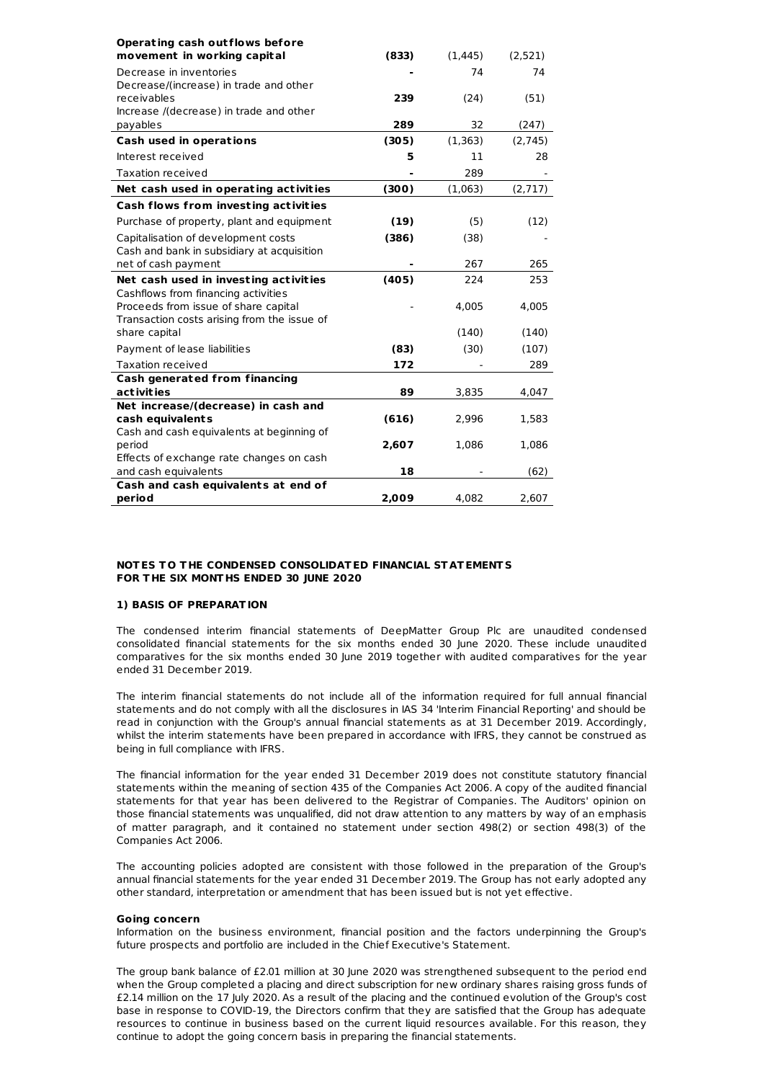| Operating cash outflows before                              |       |          |         |
|-------------------------------------------------------------|-------|----------|---------|
| movement in working capital                                 | (833) | (1, 445) | (2,521) |
| Decrease in inventories                                     |       | 74       | 74      |
| Decrease/(increase) in trade and other                      |       |          |         |
| receivables                                                 | 239   | (24)     | (51)    |
| Increase /(decrease) in trade and other                     |       |          |         |
| payables                                                    | 289   | 32       | (247)   |
| Cash used in operations                                     | (305) | (1, 363) | (2,745) |
| Interest received                                           | 5     | 11       | 28      |
| Taxation received                                           |       | 289      |         |
| Net cash used in operating activities                       | (300) | (1,063)  | (2,717) |
| Cash flows from investing activities                        |       |          |         |
| Purchase of property, plant and equipment                   | (19)  | (5)      | (12)    |
| Capitalisation of development costs                         | (386) | (38)     |         |
| Cash and bank in subsidiary at acquisition                  |       |          |         |
| net of cash payment                                         |       | 267      | 265     |
| Net cash used in investing activities                       | (405) | 224      | 253     |
| Cashflows from financing activities                         |       |          |         |
| Proceeds from issue of share capital                        |       | 4,005    | 4,005   |
| Transaction costs arising from the issue of                 |       |          |         |
| share capital                                               |       | (140)    | (140)   |
| Payment of lease liabilities                                | (83)  | (30)     | (107)   |
| Taxation received                                           | 172   |          | 289     |
| <b>Cash generated from financing</b>                        |       |          |         |
| act ivit ies                                                | 89    | 3,835    | 4,047   |
| Net increase/(decrease) in cash and                         |       |          |         |
| cash equivalents                                            | (616) | 2,996    | 1,583   |
| Cash and cash equivalents at beginning of                   |       |          |         |
| period                                                      | 2,607 | 1,086    | 1,086   |
| Effects of exchange rate changes on cash                    | 18    |          |         |
| and cash equivalents<br>Cash and cash equivalents at end of |       |          | (62)    |
| period                                                      | 2,009 | 4.082    | 2,607   |
|                                                             |       |          |         |

## **NOTES T O T HE CONDENSED CONSOLIDATED FINANCIAL ST ATEMENT S FOR T HE SIX MONT HS ENDED 30 JUNE 2020**

## **1) BASIS OF PREPARATION**

The condensed interim financial statements of DeepMatter Group Plc are unaudited condensed consolidated financial statements for the six months ended 30 June 2020. These include unaudited comparatives for the six months ended 30 June 2019 together with audited comparatives for the year ended 31 December 2019.

The interim financial statements do not include all of the information required for full annual financial statements and do not comply with all the disclosures in IAS 34 'Interim Financial Reporting' and should be read in conjunction with the Group's annual financial statements as at 31 December 2019. Accordingly, whilst the interim statements have been prepared in accordance with IFRS, they cannot be construed as being in full compliance with IFRS.

The financial information for the year ended 31 December 2019 does not constitute statutory financial statements within the meaning of section 435 of the Companies Act 2006. A copy of the audited financial statements for that year has been delivered to the Registrar of Companies. The Auditors' opinion on those financial statements was unqualified, did not draw attention to any matters by way of an emphasis of matter paragraph, and it contained no statement under section 498(2) or section 498(3) of the Companies Act 2006.

The accounting policies adopted are consistent with those followed in the preparation of the Group's annual financial statements for the year ended 31 December 2019. The Group has not early adopted any other standard, interpretation or amendment that has been issued but is not yet effective.

## **Going concern**

Information on the business environment, financial position and the factors underpinning the Group's future prospects and portfolio are included in the Chief Executive's Statement.

The group bank balance of £2.01 million at 30 June 2020 was strengthened subsequent to the period end when the Group completed a placing and direct subscription for new ordinary shares raising gross funds of £2.14 million on the 17 July 2020. As a result of the placing and the continued evolution of the Group's cost base in response to COVID-19, the Directors confirm that they are satisfied that the Group has adequate resources to continue in business based on the current liquid resources available. For this reason, they continue to adopt the going concern basis in preparing the financial statements.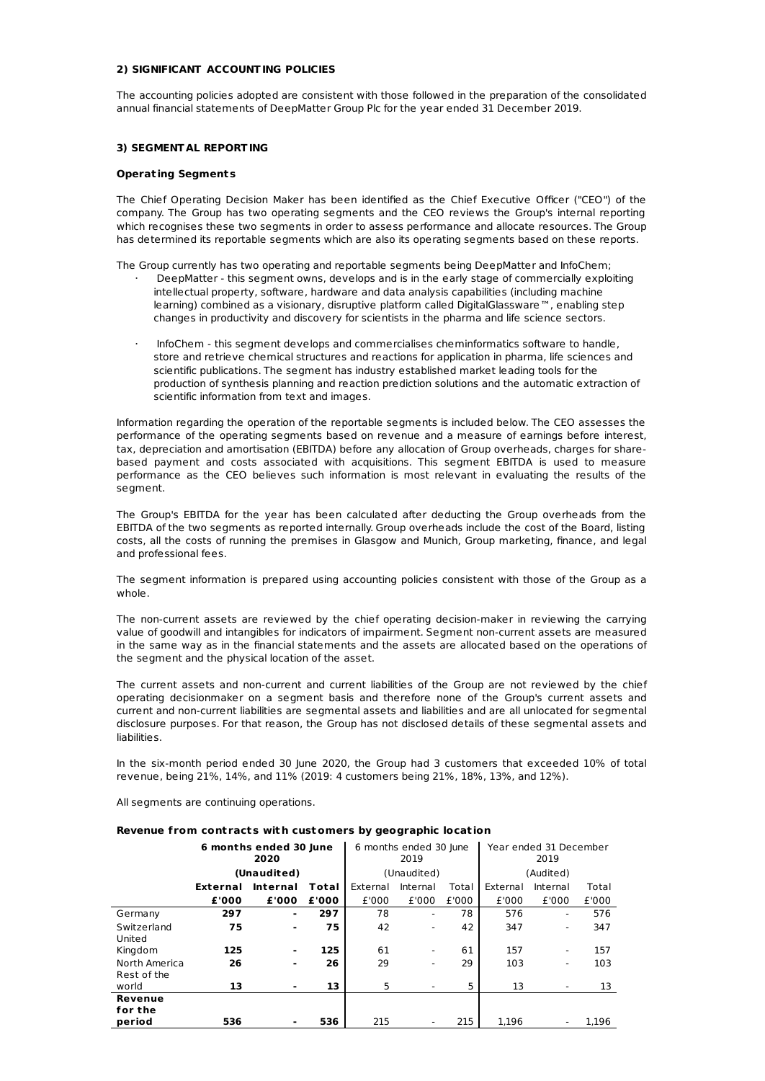# **2) SIGNIFICANT ACCOUNTING POLICIES**

The accounting policies adopted are consistent with those followed in the preparation of the consolidated annual financial statements of DeepMatter Group Plc for the year ended 31 December 2019.

## **3) SEGMENT AL REPORTING**

#### **Operat ing Segments**

The Chief Operating Decision Maker has been identified as the Chief Executive Officer ("CEO") of the company. The Group has two operating segments and the CEO reviews the Group's internal reporting which recognises these two segments in order to assess performance and allocate resources. The Group has determined its reportable segments which are also its operating segments based on these reports.

The Group currently has two operating and reportable segments being DeepMatter and InfoChem;

- · DeepMatter this segment owns, develops and is in the early stage of commercially exploiting intellectual property, software, hardware and data analysis capabilities (including machine learning) combined as a visionary, disruptive platform called DigitalGlassware™, enabling step changes in productivity and discovery for scientists in the pharma and life science sectors.
- · InfoChem this segment develops and commercialises cheminformatics software to handle, store and retrieve chemical structures and reactions for application in pharma, life sciences and scientific publications. The segment has industry established market leading tools for the production of synthesis planning and reaction prediction solutions and the automatic extraction of scientific information from text and images.

Information regarding the operation of the reportable segments is included below. The CEO assesses the performance of the operating segments based on revenue and a measure of earnings before interest, tax, depreciation and amortisation (EBITDA) before any allocation of Group overheads, charges for sharebased payment and costs associated with acquisitions. This segment EBITDA is used to measure performance as the CEO believes such information is most relevant in evaluating the results of the segment.

The Group's EBITDA for the year has been calculated after deducting the Group overheads from the EBITDA of the two segments as reported internally. Group overheads include the cost of the Board, listing costs, all the costs of running the premises in Glasgow and Munich, Group marketing, finance, and legal and professional fees.

The segment information is prepared using accounting policies consistent with those of the Group as a whole.

The non-current assets are reviewed by the chief operating decision-maker in reviewing the carrying value of goodwill and intangibles for indicators of impairment. Segment non-current assets are measured in the same way as in the financial statements and the assets are allocated based on the operations of the segment and the physical location of the asset.

The current assets and non-current and current liabilities of the Group are not reviewed by the chief operating decisionmaker on a segment basis and therefore none of the Group's current assets and current and non-current liabilities are segmental assets and liabilities and are all unlocated for segmental disclosure purposes. For that reason, the Group has not disclosed details of these segmental assets and liabilities.

In the six-month period ended 30 June 2020, the Group had 3 customers that exceeded 10% of total revenue, being 21%, 14%, and 11% (2019: 4 customers being 21%, 18%, 13%, and 12%).

All segments are continuing operations.

## **Revenue from cont racts wit h customers by geographic locat ion**

|               | 6 months ended 30 June<br>2020 |                 |       | 6 months ended 30 June<br>2019 |                          |       | Year ended 31 December<br>2019 |           |       |
|---------------|--------------------------------|-----------------|-------|--------------------------------|--------------------------|-------|--------------------------------|-----------|-------|
|               |                                | (Unaudited)     |       |                                | (Unaudited)              |       |                                | (Audited) |       |
|               | External                       | <b>Internal</b> | Total | External                       | Internal                 | Total | External                       | Internal  | Total |
|               | £'000                          | £'000           | £'000 | £'000                          | £'000                    | £'000 | £'000                          | £'000     | £'000 |
| Germany       | 297                            | ۰               | 297   | 78                             | ۰                        | 78    | 576                            | ٠         | 576   |
| Switzerland   | 75                             | ۰               | 75    | 42                             | ٠                        | 42    | 347                            | ٠         | 347   |
| United        |                                |                 |       |                                |                          |       |                                |           |       |
| Kingdom       | 125                            | ۰               | 125   | 61                             | $\overline{\phantom{a}}$ | 61    | 157                            | ۰         | 157   |
| North America | 26                             | $\blacksquare$  | 26    | 29                             | ۰                        | 29    | 103                            | ٠         | 103   |
| Rest of the   |                                |                 |       |                                |                          |       |                                |           |       |
| world         | 13                             | ۰               | 13    | 5                              | ٠                        | 5     | 13                             |           | 13    |
| Revenue       |                                |                 |       |                                |                          |       |                                |           |       |
| for the       |                                |                 |       |                                |                          |       |                                |           |       |
| period        | 536                            |                 | 536   | 215                            |                          | 215   | 1.196                          |           | 1.196 |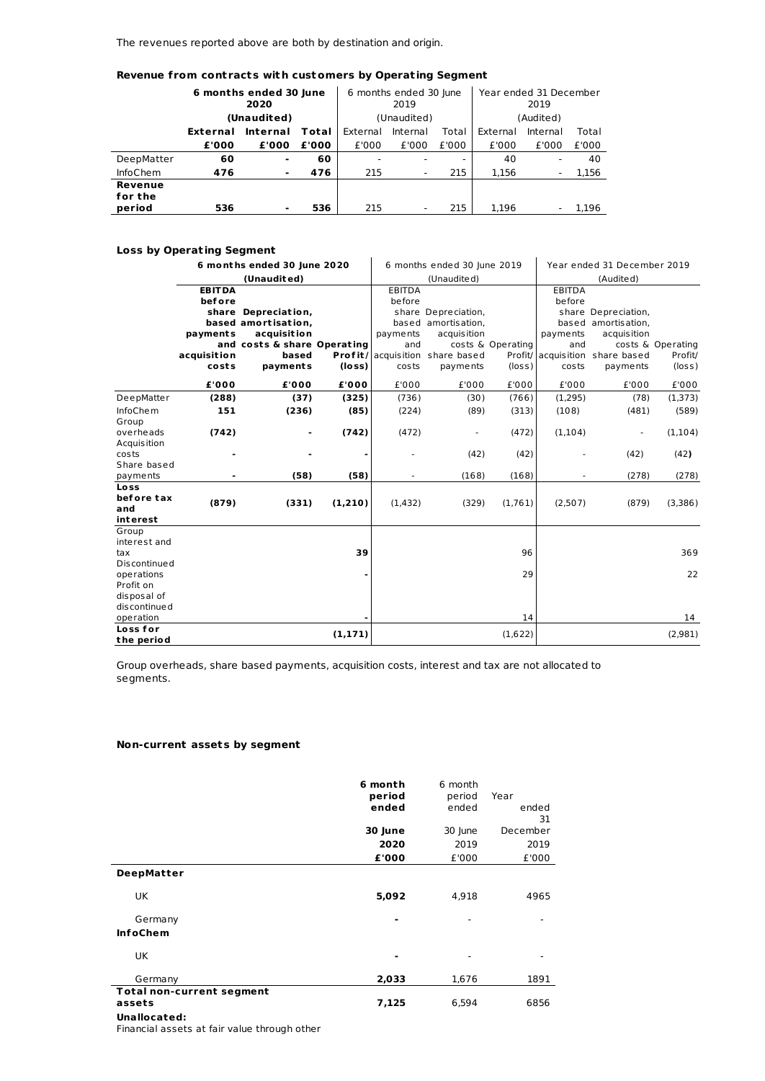The revenues reported above are both by destination and origin.

# **Revenue from cont racts wit h customers by Operat ing Segment**

|                    | 6 months ended 30 June<br>2020 |          |       | 6 months ended 30 lune<br>2019 |                          |       | Year ended 31 December<br>2019 |           |       |  |
|--------------------|--------------------------------|----------|-------|--------------------------------|--------------------------|-------|--------------------------------|-----------|-------|--|
|                    | (Unaudited)                    |          |       | (Unaudited)                    |                          |       |                                | (Audited) |       |  |
|                    | External                       | Internal | Total | External                       | Internal                 | Total | External                       | Internal  | Total |  |
|                    | £'000                          | £'000    | £'000 | £'000                          | £'000                    | £'000 | £'000                          | £'000     | £'000 |  |
| DeepMatter         | 60                             | ٠        | 60    |                                |                          |       | 40                             |           | 40    |  |
| <b>InfoChem</b>    | 476                            | ٠        | 476   | 215                            | -                        | 215   | 1.156                          | ٠         | 1,156 |  |
| Revenue<br>for the |                                |          |       |                                |                          |       |                                |           |       |  |
| period             | 536                            | ۰        | 536   | 215                            | $\overline{\phantom{0}}$ | 215   | 1.196                          |           | 1.196 |  |

# **Loss by Operat ing Segment**

| Loss by Operating segment |                             |                                    |                             |               |                                    |                   |               |                                    |                   |  |  |
|---------------------------|-----------------------------|------------------------------------|-----------------------------|---------------|------------------------------------|-------------------|---------------|------------------------------------|-------------------|--|--|
|                           | 6 months ended 30 June 2020 |                                    | 6 months ended 30 June 2019 |               | Year ended 31 December 2019        |                   |               |                                    |                   |  |  |
|                           | (Unaudited)                 |                                    |                             |               | (Unaudited)                        |                   |               | (Audited)                          |                   |  |  |
|                           | <b>EBITDA</b>               |                                    |                             | <b>EBITDA</b> |                                    |                   | <b>EBITDA</b> |                                    |                   |  |  |
|                           | before                      |                                    |                             | before        |                                    |                   | before        |                                    |                   |  |  |
|                           |                             | share Depreciation,                |                             |               | share Depreciation,                |                   |               | share Depreciation,                |                   |  |  |
|                           | payments                    | based amortisation.<br>acquisition |                             | payments      | based amortisation,<br>acquisition |                   | payments      | based amortisation.<br>acquisition |                   |  |  |
|                           |                             | and costs & share Operating        |                             | and           |                                    | costs & Operating | and           |                                    | costs & Operating |  |  |
|                           | acquisition                 | based                              |                             |               | Profit/ acquisition share based    |                   |               | Profit/ acquisition share based    | Profit/           |  |  |
|                           | costs                       | payments                           | (loss)                      | costs         | payments                           | $(\log s)$        | costs         | payments                           | $(\text{loss})$   |  |  |
|                           |                             |                                    |                             |               |                                    |                   |               |                                    |                   |  |  |
|                           | £'000                       | £'000                              | £'000                       | £'000         | £'000                              | £'000             | £'000         | £'000                              | £'000             |  |  |
| DeepMatter                | (288)                       | (37)                               | (325)                       | (736)         | (30)                               | (766)             | (1,295)       | (78)                               | (1,373)           |  |  |
| <b>InfoChem</b>           | 151                         | (236)                              | (85)                        | (224)         | (89)                               | (313)             | (108)         | (481)                              | (589)             |  |  |
| Group                     |                             |                                    |                             |               |                                    |                   |               |                                    |                   |  |  |
| overheads                 | (742)                       |                                    | (742)                       | (472)         |                                    | (472)             | (1,104)       | L,                                 | (1, 104)          |  |  |
| Acquisition<br>costs      |                             |                                    |                             |               |                                    |                   |               |                                    |                   |  |  |
| Share based               |                             |                                    |                             |               | (42)                               | (42)              |               | (42)                               | (42)              |  |  |
| payments                  |                             | (58)                               | (58)                        |               | (168)                              | (168)             |               | (278)                              | (278)             |  |  |
| Loss                      |                             |                                    |                             |               |                                    |                   |               |                                    |                   |  |  |
| before tax                | (879)                       | (331)                              | (1,210)                     | (1, 432)      | (329)                              | (1,761)           | (2,507)       | (879)                              | (3,386)           |  |  |
| and                       |                             |                                    |                             |               |                                    |                   |               |                                    |                   |  |  |
| interest<br>Group         |                             |                                    |                             |               |                                    |                   |               |                                    |                   |  |  |
| interest and              |                             |                                    |                             |               |                                    |                   |               |                                    |                   |  |  |
| tax                       |                             |                                    | 39                          |               |                                    | 96                |               |                                    | 369               |  |  |
| <b>Discontinued</b>       |                             |                                    |                             |               |                                    |                   |               |                                    |                   |  |  |
| operations                |                             |                                    |                             |               |                                    | 29                |               |                                    | 22                |  |  |
| Profit on                 |                             |                                    |                             |               |                                    |                   |               |                                    |                   |  |  |
| disposal of               |                             |                                    |                             |               |                                    |                   |               |                                    |                   |  |  |
| discontinued              |                             |                                    |                             |               |                                    |                   |               |                                    |                   |  |  |
| operation                 |                             |                                    |                             |               |                                    | 14                |               |                                    | 14                |  |  |
| Loss for                  |                             |                                    | (1, 171)                    |               |                                    | (1,622)           |               |                                    | (2,981)           |  |  |
| the period                |                             |                                    |                             |               |                                    |                   |               |                                    |                   |  |  |

Group overheads, share based payments, acquisition costs, interest and tax are not allocated to segments.

# **Non-current assets by segment**

|                                                            | 6 month<br>period<br>ended | 6 month<br>period<br>ended | Year<br>ended<br>31 |
|------------------------------------------------------------|----------------------------|----------------------------|---------------------|
|                                                            | 30 June                    | 30 June                    | December            |
|                                                            | 2020                       | 2019                       | 2019                |
|                                                            | £'000                      | £'000                      | £'000               |
| <b>DeepMatter</b>                                          |                            |                            |                     |
| UK                                                         | 5,092                      | 4,918                      | 4965                |
| Germany                                                    |                            |                            |                     |
| <b>InfoChem</b>                                            |                            |                            |                     |
| UK                                                         |                            |                            |                     |
| Germany                                                    | 2,033                      | 1,676                      | 1891                |
| <b>Total non-current segment</b><br>assets<br>Unallocated: | 7,125                      | 6,594                      | 6856                |

Financial assets at fair value through other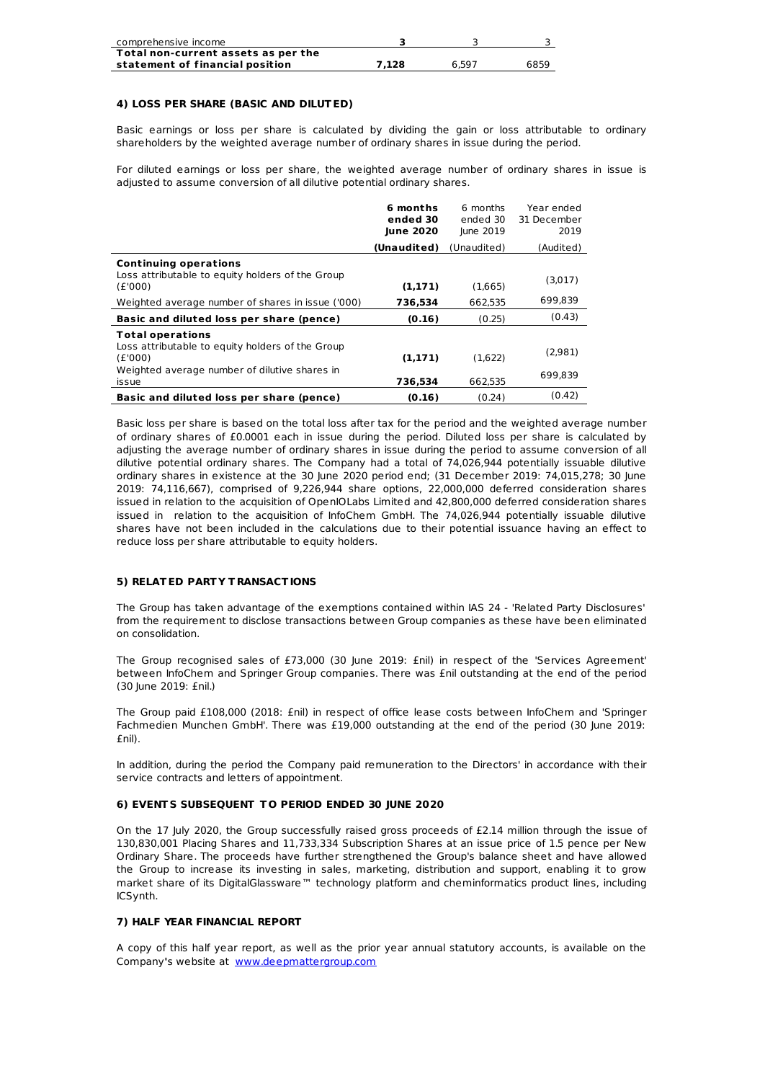| comprehensive income                |       |       |      |
|-------------------------------------|-------|-------|------|
| Total non-current assets as per the |       |       |      |
| statement of financial position     | 7.128 | 6.597 | 6859 |

## **4) LOSS PER SHARE (BASIC AND DILUTED)**

Basic earnings or loss per share is calculated by dividing the gain or loss attributable to ordinary shareholders by the weighted average number of ordinary shares in issue during the period.

For diluted earnings or loss per share, the weighted average number of ordinary shares in issue is adjusted to assume conversion of all dilutive potential ordinary shares.

|                                                                                                                                                  | 6 months<br>ended 30<br>June 2020 | 6 months<br>ended 30<br>June 2019 | Year ended<br>31 December<br>2019 |
|--------------------------------------------------------------------------------------------------------------------------------------------------|-----------------------------------|-----------------------------------|-----------------------------------|
|                                                                                                                                                  | (Unaudited)                       | (Unaudited)                       | (Audited)                         |
| <b>Continuing operations</b><br>Loss attributable to equity holders of the Group<br>(E'000)                                                      | (1,171)                           | (1,665)                           | (3,017)                           |
| Weighted average number of shares in issue ('000)                                                                                                | 736,534                           | 662.535                           | 699,839                           |
| Basic and diluted loss per share (pence)                                                                                                         | (0.16)                            | (0.25)                            | (0.43)                            |
| <b>Total operations</b><br>Loss attributable to equity holders of the Group<br>(E'000)<br>Weighted average number of dilutive shares in<br>issue | (1,171)<br>736,534                | (1,622)<br>662.535                | (2,981)<br>699.839                |
| Basic and diluted loss per share (pence)                                                                                                         | (0.16)                            | (0.24)                            | (0.42)                            |

Basic loss per share is based on the total loss after tax for the period and the weighted average number of ordinary shares of £0.0001 each in issue during the period. Diluted loss per share is calculated by adjusting the average number of ordinary shares in issue during the period to assume conversion of all dilutive potential ordinary shares. The Company had a total of 74,026,944 potentially issuable dilutive ordinary shares in existence at the 30 June 2020 period end; (31 December 2019; 74,015,278; 30 June 2019: 74,116,667), comprised of 9,226,944 share options, 22,000,000 deferred consideration shares issued in relation to the acquisition of OpenIOLabs Limited and 42,800,000 deferred consideration shares issued in relation to the acquisition of InfoChem GmbH. The 74,026,944 potentially issuable dilutive shares have not been included in the calculations due to their potential issuance having an effect to reduce loss per share attributable to equity holders.

# **5) RELATED PART Y T RANSACTIONS**

The Group has taken advantage of the exemptions contained within IAS 24 - 'Related Party Disclosures' from the requirement to disclose transactions between Group companies as these have been eliminated on consolidation.

The Group recognised sales of £73,000 (30 June 2019: £nil) in respect of the 'Services Agreement' between InfoChem and Springer Group companies. There was £nil outstanding at the end of the period (30 June 2019: £nil.)

The Group paid £108,000 (2018: £nil) in respect of office lease costs between InfoChem and 'Springer Fachmedien Munchen GmbH'. There was £19,000 outstanding at the end of the period (30 June 2019: £nil).

In addition, during the period the Company paid remuneration to the Directors' in accordance with their service contracts and letters of appointment.

## **6) EVENT S SUBSEQUENT T O PERIOD ENDED 30 JUNE 2020**

On the 17 July 2020, the Group successfully raised gross proceeds of £2.14 million through the issue of 130,830,001 Placing Shares and 11,733,334 Subscription Shares at an issue price of 1.5 pence per New Ordinary Share. The proceeds have further strengthened the Group's balance sheet and have allowed the Group to increase its investing in sales, marketing, distribution and support, enabling it to grow market share of its DigitalGlassware™ technology platform and cheminformatics product lines, including ICSynth.

## **7) HALF YEAR FINANCIAL REPORT**

A copy of this half year report, as well as the prior year annual statutory accounts, is available on the Company**'**s website at [www.deepmattergroup.com](http://www.deepmattergroup.com)